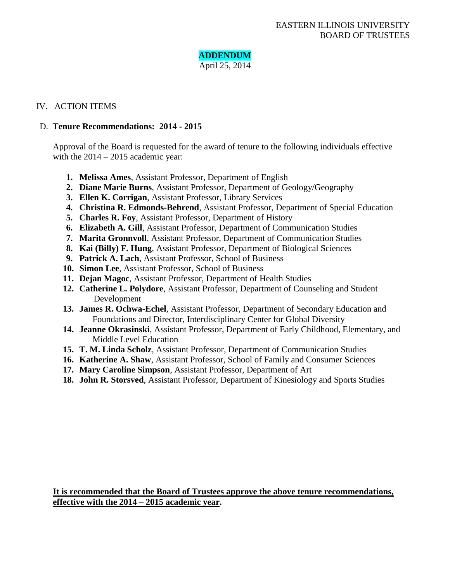# **ADDENDUM**

April 25, 2014

## IV. ACTION ITEMS

## D. **Tenure Recommendations: 2014 - 2015**

Approval of the Board is requested for the award of tenure to the following individuals effective with the 2014 – 2015 academic year:

- **1. Melissa Ames**, Assistant Professor, Department of English
- **2. Diane Marie Burns**, Assistant Professor, Department of Geology/Geography
- **3. Ellen K. Corrigan**, Assistant Professor, Library Services
- **4. Christina R. Edmonds-Behrend**, Assistant Professor, Department of Special Education
- **5. Charles R. Foy**, Assistant Professor, Department of History
- **6. Elizabeth A. Gill**, Assistant Professor, Department of Communication Studies
- **7. Marita Gronnvoll**, Assistant Professor, Department of Communication Studies
- **8. Kai (Billy) F. Hung**, Assistant Professor, Department of Biological Sciences
- **9. Patrick A. Lach**, Assistant Professor, School of Business
- **10. Simon Lee**, Assistant Professor, School of Business
- **11. Dejan Magoc**, Assistant Professor, Department of Health Studies
- **12. Catherine L. Polydore**, Assistant Professor, Department of Counseling and Student Development
- **13. James R. Ochwa-Echel**, Assistant Professor, Department of Secondary Education and Foundations and Director, Interdisciplinary Center for Global Diversity
- **14. Jeanne Okrasinski**, Assistant Professor, Department of Early Childhood, Elementary, and Middle Level Education
- **15. T. M. Linda Scholz**, Assistant Professor, Department of Communication Studies
- **16. Katherine A. Shaw**, Assistant Professor, School of Family and Consumer Sciences
- **17. Mary Caroline Simpson**, Assistant Professor, Department of Art
- **18. John R. Storsved**, Assistant Professor, Department of Kinesiology and Sports Studies

**It is recommended that the Board of Trustees approve the above tenure recommendations, effective with the 2014 – 2015 academic year.**